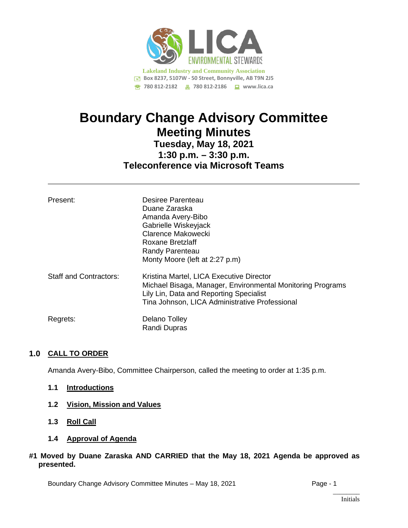

# **Boundary Change Advisory Committee Meeting Minutes Tuesday, May 18, 2021**

## **1:30 p.m. – 3:30 p.m. Teleconference via Microsoft Teams**

| Present:                      | Desiree Parenteau<br>Duane Zaraska<br>Amanda Avery-Bibo<br>Gabrielle Wiskeyjack<br>Clarence Makowecki<br>Roxane Bretzlaff<br>Randy Parenteau<br>Monty Moore (left at 2:27 p.m)                      |
|-------------------------------|-----------------------------------------------------------------------------------------------------------------------------------------------------------------------------------------------------|
| <b>Staff and Contractors:</b> | Kristina Martel, LICA Executive Director<br>Michael Bisaga, Manager, Environmental Monitoring Programs<br>Lily Lin, Data and Reporting Specialist<br>Tina Johnson, LICA Administrative Professional |
| Regrets:                      | Delano Tolley<br>Randi Dupras                                                                                                                                                                       |

### **1.0 CALL TO ORDER**

Amanda Avery-Bibo, Committee Chairperson, called the meeting to order at 1:35 p.m.

- **1.1 Introductions**
- **1.2 Vision, Mission and Values**
- **1.3 Roll Call**
- **1.4 Approval of Agenda**

#### **#1 Moved by Duane Zaraska AND CARRIED that the May 18, 2021 Agenda be approved as presented.**

Boundary Change Advisory Committee Minutes – May 18, 2021 **Page - 1** Page - 1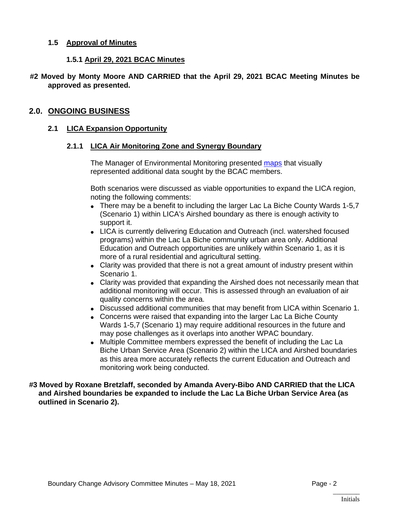#### **1.5 Approval of Minutes**

#### **1.5.1 April 29, 2021 BCAC Minutes**

#### **#2 Moved by Monty Moore AND CARRIED that the April 29, 2021 BCAC Meeting Minutes be approved as presented.**

#### **2.0. ONGOING BUSINESS**

#### **2.1 LICA Expansion Opportunity**

#### **2.1.1 LICA Air Monitoring Zone and Synergy Boundary**

The Manager of Environmental Monitoring presented [maps](https://lica2.sharepoint.com/sites/Office/Shared%20Documents/Committees/Boundary%20Change%20Advisory%20Committee/Minutes/May%2018,%202021/BCAC%20Maps%20-%20May%2018%202021%20Meeting.pdf) that visually represented additional data sought by the BCAC members.

Both scenarios were discussed as viable opportunities to expand the LICA region, noting the following comments:

- There may be a benefit to including the larger Lac La Biche County Wards 1-5,7 (Scenario 1) within LICA's Airshed boundary as there is enough activity to support it.
- LICA is currently delivering Education and Outreach (incl. watershed focused programs) within the Lac La Biche community urban area only. Additional Education and Outreach opportunities are unlikely within Scenario 1, as it is more of a rural residential and agricultural setting.
- Clarity was provided that there is not a great amount of industry present within Scenario 1.
- Clarity was provided that expanding the Airshed does not necessarily mean that additional monitoring will occur. This is assessed through an evaluation of air quality concerns within the area.
- Discussed additional communities that may benefit from LICA within Scenario 1.
- Concerns were raised that expanding into the larger Lac La Biche County Wards 1-5,7 (Scenario 1) may require additional resources in the future and may pose challenges as it overlaps into another WPAC boundary.
- Multiple Committee members expressed the benefit of including the Lac La Biche Urban Service Area (Scenario 2) within the LICA and Airshed boundaries as this area more accurately reflects the current Education and Outreach and monitoring work being conducted.

**#3 Moved by Roxane Bretzlaff, seconded by Amanda Avery-Bibo AND CARRIED that the LICA and Airshed boundaries be expanded to include the Lac La Biche Urban Service Area (as outlined in Scenario 2).**